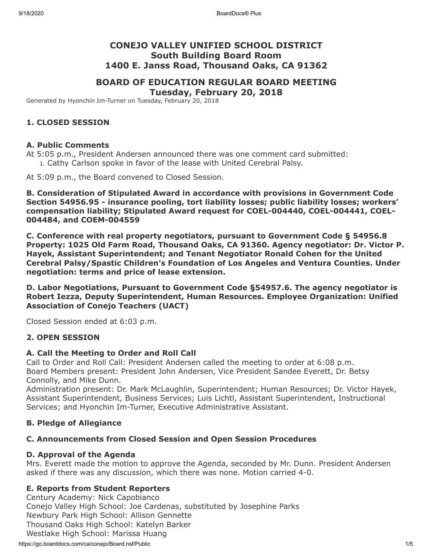# **CONEJO VALLEY UNIFIED SCHOOL DISTRICT South Building Board Room 1400 E. Janss Road, Thousand Oaks, CA 91362**

# **BOARD OF EDUCATION REGULAR BOARD MEETING**

**Tuesday, February 20, 2018**

Generated by Hyonchin Im-Turner on Tuesday, February 20, 2018

### **1. CLOSED SESSION**

#### **A. Public Comments**

At 5:05 p.m., President Andersen announced there was one comment card submitted: 1. Cathy Carlson spoke in favor of the lease with United Cerebral Palsy.

At 5:09 p.m., the Board convened to Closed Session.

**B. Consideration of Stipulated Award in accordance with provisions in Government Code Section 54956.95 - insurance pooling, tort liability losses; public liability losses; workers' compensation liability; Stipulated Award request for COEL-004440, COEL-004441, COEL-004484, and COEM-004559**

**C. Conference with real property negotiators, pursuant to Government Code § 54956.8 Property: 1025 Old Farm Road, Thousand Oaks, CA 91360. Agency negotiator: Dr. Victor P. Hayek, Assistant Superintendent; and Tenant Negotiator Ronald Cohen for the United Cerebral Palsy/Spastic Children's Foundation of Los Angeles and Ventura Counties. Under negotiation: terms and price of lease extension.**

**D. Labor Negotiations, Pursuant to Government Code §54957.6. The agency negotiator is Robert Iezza, Deputy Superintendent, Human Resources. Employee Organization: Unified Association of Conejo Teachers (UACT)**

Closed Session ended at 6:03 p.m.

### **2. OPEN SESSION**

#### **A. Call the Meeting to Order and Roll Call**

Call to Order and Roll Call: President Andersen called the meeting to order at 6:08 p.m. Board Members present: President John Andersen, Vice President Sandee Everett, Dr. Betsy Connolly, and Mike Dunn.

Administration present: Dr. Mark McLaughlin, Superintendent; Human Resources; Dr. Victor Hayek, Assistant Superintendent, Business Services; Luis Lichtl, Assistant Superintendent, Instructional Services; and Hyonchin Im-Turner, Executive Administrative Assistant.

### **B. Pledge of Allegiance**

### **C. Announcements from Closed Session and Open Session Procedures**

#### **D. Approval of the Agenda**

Mrs. Everett made the motion to approve the Agenda, seconded by Mr. Dunn. President Andersen asked if there was any discussion, which there was none. Motion carried 4-0.

### **E. Reports from Student Reporters**

Century Academy: Nick Capobianco Conejo Valley High School: Joe Cardenas, substituted by Josephine Parks Newbury Park High School: Allison Gennette Thousand Oaks High School: Katelyn Barker Westlake High School: Marissa Huang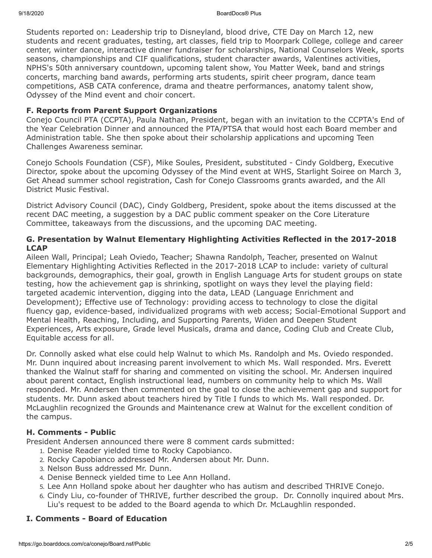Students reported on: Leadership trip to Disneyland, blood drive, CTE Day on March 12, new students and recent graduates, testing, art classes, field trip to Moorpark College, college and career center, winter dance, interactive dinner fundraiser for scholarships, National Counselors Week, sports seasons, championships and CIF qualifications, student character awards, Valentines activities, NPHS's 50th anniversary countdown, upcoming talent show, You Matter Week, band and strings concerts, marching band awards, performing arts students, spirit cheer program, dance team competitions, ASB CATA conference, drama and theatre performances, anatomy talent show, Odyssey of the Mind event and choir concert.

### **F. Reports from Parent Support Organizations**

Conejo Council PTA (CCPTA), Paula Nathan, President, began with an invitation to the CCPTA's End of the Year Celebration Dinner and announced the PTA/PTSA that would host each Board member and Administration table. She then spoke about their scholarship applications and upcoming Teen Challenges Awareness seminar.

Conejo Schools Foundation (CSF), Mike Soules, President, substituted - Cindy Goldberg, Executive Director, spoke about the upcoming Odyssey of the Mind event at WHS, Starlight Soiree on March 3, Get Ahead summer school registration, Cash for Conejo Classrooms grants awarded, and the All District Music Festival.

District Advisory Council (DAC), Cindy Goldberg, President, spoke about the items discussed at the recent DAC meeting, a suggestion by a DAC public comment speaker on the Core Literature Committee, takeaways from the discussions, and the upcoming DAC meeting.

### **G. Presentation by Walnut Elementary Highlighting Activities Reflected in the 2017-2018 LCAP**

Aileen Wall, Principal; Leah Oviedo, Teacher; Shawna Randolph, Teacher, presented on Walnut Elementary Highlighting Activities Reflected in the 2017-2018 LCAP to include: variety of cultural backgrounds, demographics, their goal, growth in English Language Arts for student groups on state testing, how the achievement gap is shrinking, spotlight on ways they level the playing field: targeted academic intervention, digging into the data, LEAD (Language Enrichment and Development); Effective use of Technology: providing access to technology to close the digital fluency gap, evidence-based, individualized programs with web access; Social-Emotional Support and Mental Health, Reaching, Including, and Supporting Parents, Widen and Deepen Student Experiences, Arts exposure, Grade level Musicals, drama and dance, Coding Club and Create Club, Equitable access for all.

Dr. Connolly asked what else could help Walnut to which Ms. Randolph and Ms. Oviedo responded. Mr. Dunn inquired about increasing parent involvement to which Ms. Wall responded. Mrs. Everett thanked the Walnut staff for sharing and commented on visiting the school. Mr. Andersen inquired about parent contact, English instructional lead, numbers on community help to which Ms. Wall responded. Mr. Andersen then commented on the goal to close the achievement gap and support for students. Mr. Dunn asked about teachers hired by Title I funds to which Ms. Wall responded. Dr. McLaughlin recognized the Grounds and Maintenance crew at Walnut for the excellent condition of the campus.

### **H. Comments - Public**

President Andersen announced there were 8 comment cards submitted:

- 1. Denise Reader yielded time to Rocky Capobianco.
- 2. Rocky Capobianco addressed Mr. Andersen about Mr. Dunn.
- 3. Nelson Buss addressed Mr. Dunn.
- 4. Denise Benneck yielded time to Lee Ann Holland.
- 5. Lee Ann Holland spoke about her daughter who has autism and described THRIVE Conejo.
- 6. Cindy Liu, co-founder of THRIVE, further described the group. Dr. Connolly inquired about Mrs. Liu's request to be added to the Board agenda to which Dr. McLaughlin responded.

### **I. Comments - Board of Education**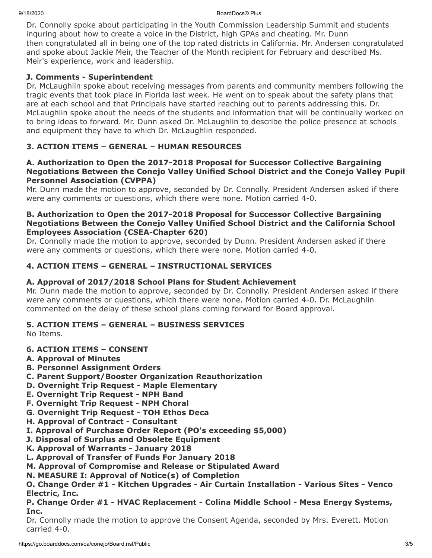Dr. Connolly spoke about participating in the Youth Commission Leadership Summit and students inquring about how to create a voice in the District, high GPAs and cheating. Mr. Dunn then congratulated all in being one of the top rated districts in California. Mr. Andersen congratulated and spoke about Jackie Meir, the Teacher of the Month recipient for February and described Ms. Meir's experience, work and leadership.

## **J. Comments - Superintendent**

Dr. McLaughlin spoke about receiving messages from parents and community members following the tragic events that took place in Florida last week. He went on to speak about the safety plans that are at each school and that Principals have started reaching out to parents addressing this. Dr. McLaughlin spoke about the needs of the students and information that will be continually worked on to bring ideas to forward. Mr. Dunn asked Dr. McLaughlin to describe the police presence at schools and equipment they have to which Dr. McLaughlin responded.

# **3. ACTION ITEMS – GENERAL – HUMAN RESOURCES**

### **A. Authorization to Open the 2017-2018 Proposal for Successor Collective Bargaining Negotiations Between the Conejo Valley Unified School District and the Conejo Valley Pupil Personnel Association (CVPPA)**

Mr. Dunn made the motion to approve, seconded by Dr. Connolly. President Andersen asked if there were any comments or questions, which there were none. Motion carried 4-0.

### **B. Authorization to Open the 2017-2018 Proposal for Successor Collective Bargaining Negotiations Between the Conejo Valley Unified School District and the California School Employees Association (CSEA-Chapter 620)**

Dr. Connolly made the motion to approve, seconded by Dunn. President Andersen asked if there were any comments or questions, which there were none. Motion carried 4-0.

# **4. ACTION ITEMS – GENERAL – INSTRUCTIONAL SERVICES**

## **A. Approval of 2017/2018 School Plans for Student Achievement**

Mr. Dunn made the motion to approve, seconded by Dr. Connolly. President Andersen asked if there were any comments or questions, which there were none. Motion carried 4-0. Dr. McLaughlin commented on the delay of these school plans coming forward for Board approval.

### **5. ACTION ITEMS – GENERAL – BUSINESS SERVICES**

No Items.

### **6. ACTION ITEMS – CONSENT**

- **A. Approval of Minutes**
- **B. Personnel Assignment Orders**
- **C. Parent Support/Booster Organization Reauthorization**
- **D. Overnight Trip Request Maple Elementary**
- **E. Overnight Trip Request NPH Band**
- **F. Overnight Trip Request NPH Choral**
- **G. Overnight Trip Request TOH Ethos Deca**
- **H. Approval of Contract Consultant**
- **I. Approval of Purchase Order Report (PO's exceeding \$5,000)**
- **J. Disposal of Surplus and Obsolete Equipment**
- **K. Approval of Warrants January 2018**
- **L. Approval of Transfer of Funds For January 2018**
- **M. Approval of Compromise and Release or Stipulated Award**
- **N. MEASURE I: Approval of Notice(s) of Completion**

**O. Change Order #1 - Kitchen Upgrades - Air Curtain Installation - Various Sites - Venco Electric, Inc.**

### **P. Change Order #1 - HVAC Replacement - Colina Middle School - Mesa Energy Systems, Inc.**

Dr. Connolly made the motion to approve the Consent Agenda, seconded by Mrs. Everett. Motion carried 4-0.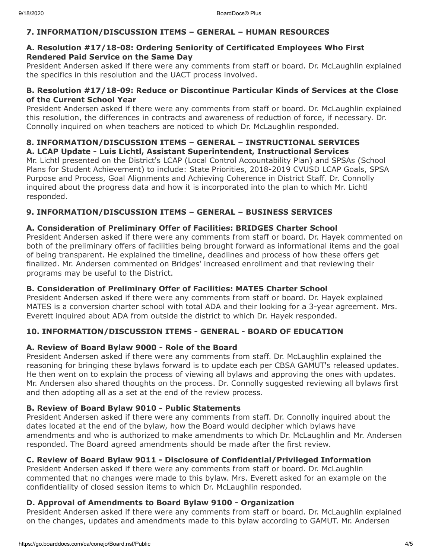### **7. INFORMATION/DISCUSSION ITEMS – GENERAL – HUMAN RESOURCES**

#### **A. Resolution #17/18-08: Ordering Seniority of Certificated Employees Who First Rendered Paid Service on the Same Day**

President Andersen asked if there were any comments from staff or board. Dr. McLaughlin explained the specifics in this resolution and the UACT process involved.

### **B. Resolution #17/18-09: Reduce or Discontinue Particular Kinds of Services at the Close of the Current School Year**

President Andersen asked if there were any comments from staff or board. Dr. McLaughlin explained this resolution, the differences in contracts and awareness of reduction of force, if necessary. Dr. Connolly inquired on when teachers are noticed to which Dr. McLaughlin responded.

### **8. INFORMATION/DISCUSSION ITEMS – GENERAL – INSTRUCTIONAL SERVICES A. LCAP Update - Luis Lichtl, Assistant Superintendent, Instructional Services**

Mr. Lichtl presented on the District's LCAP (Local Control Accountability Plan) and SPSAs (School Plans for Student Achievement) to include: State Priorities, 2018-2019 CVUSD LCAP Goals, SPSA Purpose and Process, Goal Alignments and Achieving Coherence in District Staff. Dr. Connolly inquired about the progress data and how it is incorporated into the plan to which Mr. Lichtl responded.

### **9. INFORMATION/DISCUSSION ITEMS – GENERAL – BUSINESS SERVICES**

### **A. Consideration of Preliminary Offer of Facilities: BRIDGES Charter School**

President Andersen asked if there were any comments from staff or board. Dr. Hayek commented on both of the preliminary offers of facilities being brought forward as informational items and the goal of being transparent. He explained the timeline, deadlines and process of how these offers get finalized. Mr. Andersen commented on Bridges' increased enrollment and that reviewing their programs may be useful to the District.

### **B. Consideration of Preliminary Offer of Facilities: MATES Charter School**

President Andersen asked if there were any comments from staff or board. Dr. Hayek explained MATES is a conversion charter school with total ADA and their looking for a 3-year agreement. Mrs. Everett inquired about ADA from outside the district to which Dr. Hayek responded.

### **10. INFORMATION/DISCUSSION ITEMS - GENERAL - BOARD OF EDUCATION**

### **A. Review of Board Bylaw 9000 - Role of the Board**

President Andersen asked if there were any comments from staff. Dr. McLaughlin explained the reasoning for bringing these bylaws forward is to update each per CBSA GAMUT's released updates. He then went on to explain the process of viewing all bylaws and approving the ones with updates. Mr. Andersen also shared thoughts on the process. Dr. Connolly suggested reviewing all bylaws first and then adopting all as a set at the end of the review process.

### **B. Review of Board Bylaw 9010 - Public Statements**

President Andersen asked if there were any comments from staff. Dr. Connolly inquired about the dates located at the end of the bylaw, how the Board would decipher which bylaws have amendments and who is authorized to make amendments to which Dr. McLaughlin and Mr. Andersen responded. The Board agreed amendments should be made after the first review.

### **C. Review of Board Bylaw 9011 - Disclosure of Confidential/Privileged Information**

President Andersen asked if there were any comments from staff or board. Dr. McLaughlin commented that no changes were made to this bylaw. Mrs. Everett asked for an example on the confidentiality of closed session items to which Dr. McLaughlin responded.

### **D. Approval of Amendments to Board Bylaw 9100 - Organization**

President Andersen asked if there were any comments from staff or board. Dr. McLaughlin explained on the changes, updates and amendments made to this bylaw according to GAMUT. Mr. Andersen